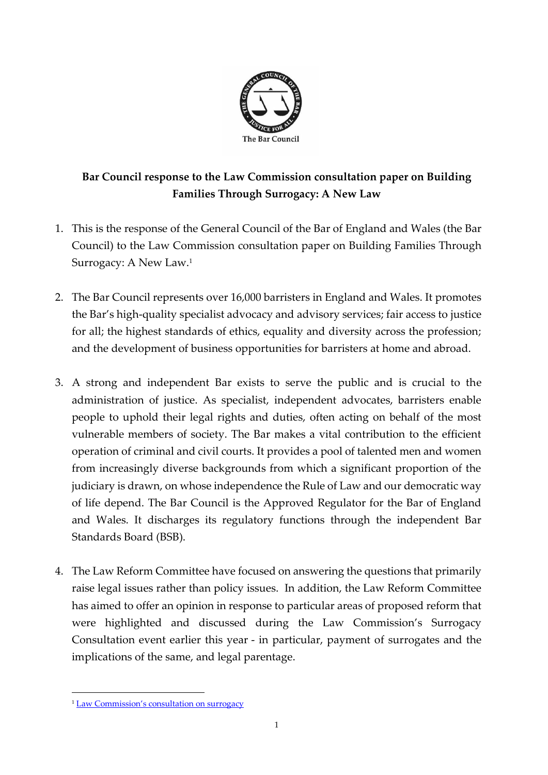

# **Bar Council response to the Law Commission consultation paper on Building Families Through Surrogacy: A New Law**

- 1. This is the response of the General Council of the Bar of England and Wales (the Bar Council) to the Law Commission consultation paper on Building Families Through Surrogacy: A New Law.<sup>1</sup>
- 2. The Bar Council represents over 16,000 barristers in England and Wales. It promotes the Bar's high-quality specialist advocacy and advisory services; fair access to justice for all; the highest standards of ethics, equality and diversity across the profession; and the development of business opportunities for barristers at home and abroad.
- 3. A strong and independent Bar exists to serve the public and is crucial to the administration of justice. As specialist, independent advocates, barristers enable people to uphold their legal rights and duties, often acting on behalf of the most vulnerable members of society. The Bar makes a vital contribution to the efficient operation of criminal and civil courts. It provides a pool of talented men and women from increasingly diverse backgrounds from which a significant proportion of the judiciary is drawn, on whose independence the Rule of Law and our democratic way of life depend. The Bar Council is the Approved Regulator for the Bar of England and Wales. It discharges its regulatory functions through the independent Bar Standards Board (BSB).
- 4. The Law Reform Committee have focused on answering the questions that primarily raise legal issues rather than policy issues. In addition, the Law Reform Committee has aimed to offer an opinion in response to particular areas of proposed reform that were highlighted and discussed during the Law Commission's Surrogacy Consultation event earlier this year - in particular, payment of surrogates and the implications of the same, and legal parentage.

1

<sup>&</sup>lt;sup>1</sup> Law Commis[sion's consultation on surrogacy](https://s3-eu-west-2.amazonaws.com/lawcom-prod-storage-11jsxou24uy7q/uploads/2019/06/Surrogacy-consultation-paper.pdf)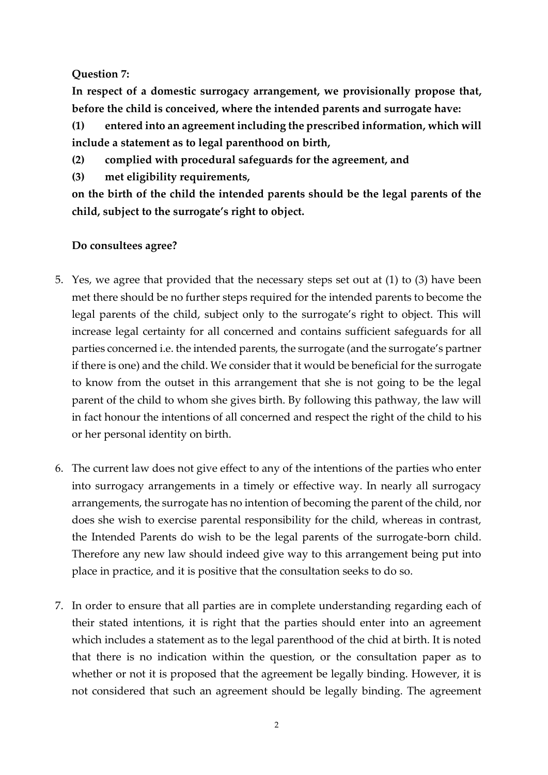# **Question 7:**

**In respect of a domestic surrogacy arrangement, we provisionally propose that, before the child is conceived, where the intended parents and surrogate have:**

**(1) entered into an agreement including the prescribed information, which will include a statement as to legal parenthood on birth,**

**(2) complied with procedural safeguards for the agreement, and**

**(3) met eligibility requirements,**

**on the birth of the child the intended parents should be the legal parents of the child, subject to the surrogate's right to object.**

- 5. Yes, we agree that provided that the necessary steps set out at (1) to (3) have been met there should be no further steps required for the intended parents to become the legal parents of the child, subject only to the surrogate's right to object. This will increase legal certainty for all concerned and contains sufficient safeguards for all parties concerned i.e. the intended parents, the surrogate (and the surrogate's partner if there is one) and the child. We consider that it would be beneficial for the surrogate to know from the outset in this arrangement that she is not going to be the legal parent of the child to whom she gives birth. By following this pathway, the law will in fact honour the intentions of all concerned and respect the right of the child to his or her personal identity on birth.
- 6. The current law does not give effect to any of the intentions of the parties who enter into surrogacy arrangements in a timely or effective way. In nearly all surrogacy arrangements, the surrogate has no intention of becoming the parent of the child, nor does she wish to exercise parental responsibility for the child, whereas in contrast, the Intended Parents do wish to be the legal parents of the surrogate-born child. Therefore any new law should indeed give way to this arrangement being put into place in practice, and it is positive that the consultation seeks to do so.
- 7. In order to ensure that all parties are in complete understanding regarding each of their stated intentions, it is right that the parties should enter into an agreement which includes a statement as to the legal parenthood of the chid at birth. It is noted that there is no indication within the question, or the consultation paper as to whether or not it is proposed that the agreement be legally binding. However, it is not considered that such an agreement should be legally binding. The agreement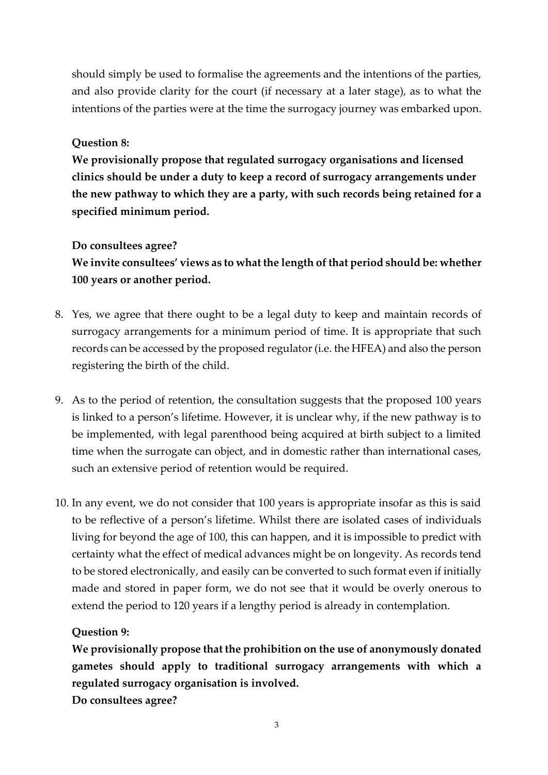should simply be used to formalise the agreements and the intentions of the parties, and also provide clarity for the court (if necessary at a later stage), as to what the intentions of the parties were at the time the surrogacy journey was embarked upon.

### **Question 8:**

**We provisionally propose that regulated surrogacy organisations and licensed clinics should be under a duty to keep a record of surrogacy arrangements under the new pathway to which they are a party, with such records being retained for a specified minimum period.**

### **Do consultees agree?**

**We invite consultees' views as to what the length of that period should be: whether 100 years or another period.**

- 8. Yes, we agree that there ought to be a legal duty to keep and maintain records of surrogacy arrangements for a minimum period of time. It is appropriate that such records can be accessed by the proposed regulator (i.e. the HFEA) and also the person registering the birth of the child.
- 9. As to the period of retention, the consultation suggests that the proposed 100 years is linked to a person's lifetime. However, it is unclear why, if the new pathway is to be implemented, with legal parenthood being acquired at birth subject to a limited time when the surrogate can object, and in domestic rather than international cases, such an extensive period of retention would be required.
- 10. In any event, we do not consider that 100 years is appropriate insofar as this is said to be reflective of a person's lifetime. Whilst there are isolated cases of individuals living for beyond the age of 100, this can happen, and it is impossible to predict with certainty what the effect of medical advances might be on longevity. As records tend to be stored electronically, and easily can be converted to such format even if initially made and stored in paper form, we do not see that it would be overly onerous to extend the period to 120 years if a lengthy period is already in contemplation.

### **Question 9:**

**We provisionally propose that the prohibition on the use of anonymously donated gametes should apply to traditional surrogacy arrangements with which a regulated surrogacy organisation is involved.**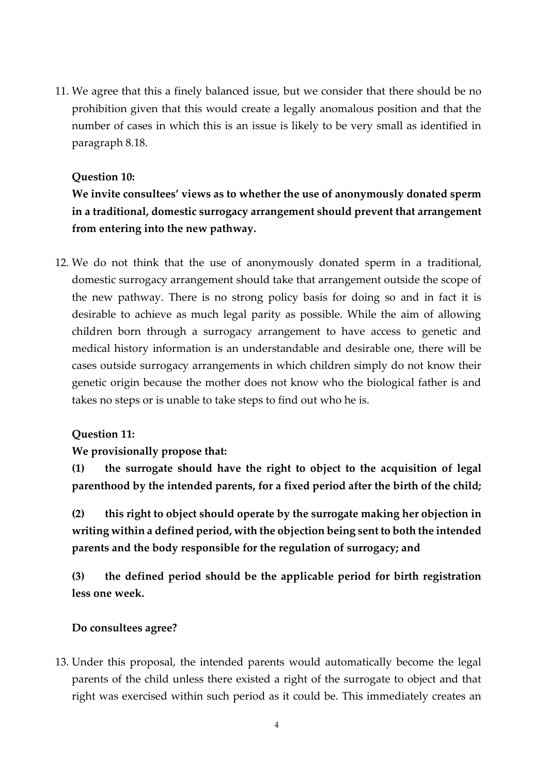11. We agree that this a finely balanced issue, but we consider that there should be no prohibition given that this would create a legally anomalous position and that the number of cases in which this is an issue is likely to be very small as identified in paragraph 8.18.

### **Question 10:**

**We invite consultees' views as to whether the use of anonymously donated sperm in a traditional, domestic surrogacy arrangement should prevent that arrangement from entering into the new pathway.**

12. We do not think that the use of anonymously donated sperm in a traditional, domestic surrogacy arrangement should take that arrangement outside the scope of the new pathway. There is no strong policy basis for doing so and in fact it is desirable to achieve as much legal parity as possible. While the aim of allowing children born through a surrogacy arrangement to have access to genetic and medical history information is an understandable and desirable one, there will be cases outside surrogacy arrangements in which children simply do not know their genetic origin because the mother does not know who the biological father is and takes no steps or is unable to take steps to find out who he is.

#### **Question 11:**

**We provisionally propose that:**

**(1) the surrogate should have the right to object to the acquisition of legal parenthood by the intended parents, for a fixed period after the birth of the child;**

**(2) this right to object should operate by the surrogate making her objection in writing within a defined period, with the objection being sent to both the intended parents and the body responsible for the regulation of surrogacy; and** 

**(3) the defined period should be the applicable period for birth registration less one week.** 

#### **Do consultees agree?**

13. Under this proposal, the intended parents would automatically become the legal parents of the child unless there existed a right of the surrogate to object and that right was exercised within such period as it could be. This immediately creates an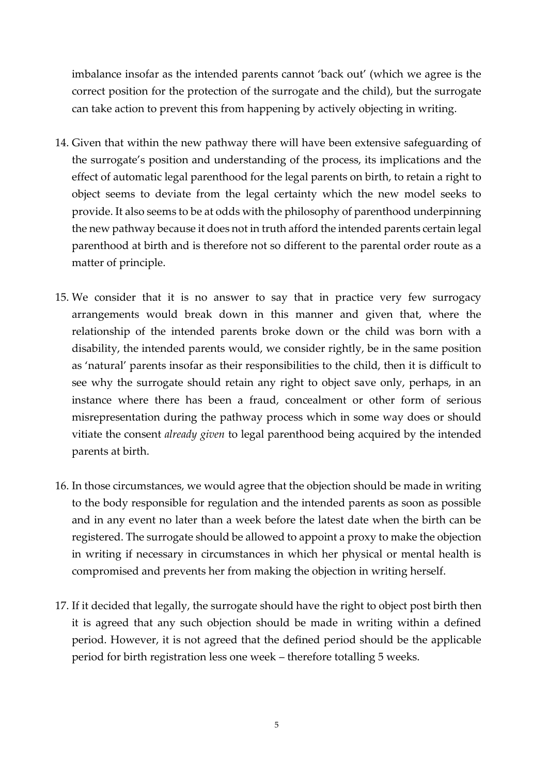imbalance insofar as the intended parents cannot 'back out' (which we agree is the correct position for the protection of the surrogate and the child), but the surrogate can take action to prevent this from happening by actively objecting in writing.

- 14. Given that within the new pathway there will have been extensive safeguarding of the surrogate's position and understanding of the process, its implications and the effect of automatic legal parenthood for the legal parents on birth, to retain a right to object seems to deviate from the legal certainty which the new model seeks to provide. It also seems to be at odds with the philosophy of parenthood underpinning the new pathway because it does not in truth afford the intended parents certain legal parenthood at birth and is therefore not so different to the parental order route as a matter of principle.
- 15. We consider that it is no answer to say that in practice very few surrogacy arrangements would break down in this manner and given that, where the relationship of the intended parents broke down or the child was born with a disability, the intended parents would, we consider rightly, be in the same position as 'natural' parents insofar as their responsibilities to the child, then it is difficult to see why the surrogate should retain any right to object save only, perhaps, in an instance where there has been a fraud, concealment or other form of serious misrepresentation during the pathway process which in some way does or should vitiate the consent *already given* to legal parenthood being acquired by the intended parents at birth.
- 16. In those circumstances, we would agree that the objection should be made in writing to the body responsible for regulation and the intended parents as soon as possible and in any event no later than a week before the latest date when the birth can be registered. The surrogate should be allowed to appoint a proxy to make the objection in writing if necessary in circumstances in which her physical or mental health is compromised and prevents her from making the objection in writing herself.
- 17. If it decided that legally, the surrogate should have the right to object post birth then it is agreed that any such objection should be made in writing within a defined period. However, it is not agreed that the defined period should be the applicable period for birth registration less one week – therefore totalling 5 weeks.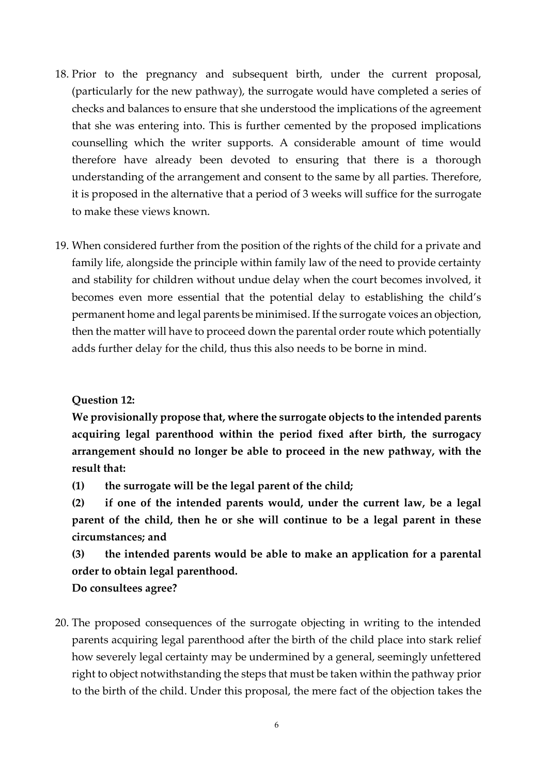- 18. Prior to the pregnancy and subsequent birth, under the current proposal, (particularly for the new pathway), the surrogate would have completed a series of checks and balances to ensure that she understood the implications of the agreement that she was entering into. This is further cemented by the proposed implications counselling which the writer supports. A considerable amount of time would therefore have already been devoted to ensuring that there is a thorough understanding of the arrangement and consent to the same by all parties. Therefore, it is proposed in the alternative that a period of 3 weeks will suffice for the surrogate to make these views known.
- 19. When considered further from the position of the rights of the child for a private and family life, alongside the principle within family law of the need to provide certainty and stability for children without undue delay when the court becomes involved, it becomes even more essential that the potential delay to establishing the child's permanent home and legal parents be minimised. If the surrogate voices an objection, then the matter will have to proceed down the parental order route which potentially adds further delay for the child, thus this also needs to be borne in mind.

**Question 12:**

**We provisionally propose that, where the surrogate objects to the intended parents acquiring legal parenthood within the period fixed after birth, the surrogacy arrangement should no longer be able to proceed in the new pathway, with the result that:**

**(1) the surrogate will be the legal parent of the child;**

**(2) if one of the intended parents would, under the current law, be a legal parent of the child, then he or she will continue to be a legal parent in these circumstances; and**

**(3) the intended parents would be able to make an application for a parental order to obtain legal parenthood.**

### **Do consultees agree?**

20. The proposed consequences of the surrogate objecting in writing to the intended parents acquiring legal parenthood after the birth of the child place into stark relief how severely legal certainty may be undermined by a general, seemingly unfettered right to object notwithstanding the steps that must be taken within the pathway prior to the birth of the child. Under this proposal, the mere fact of the objection takes the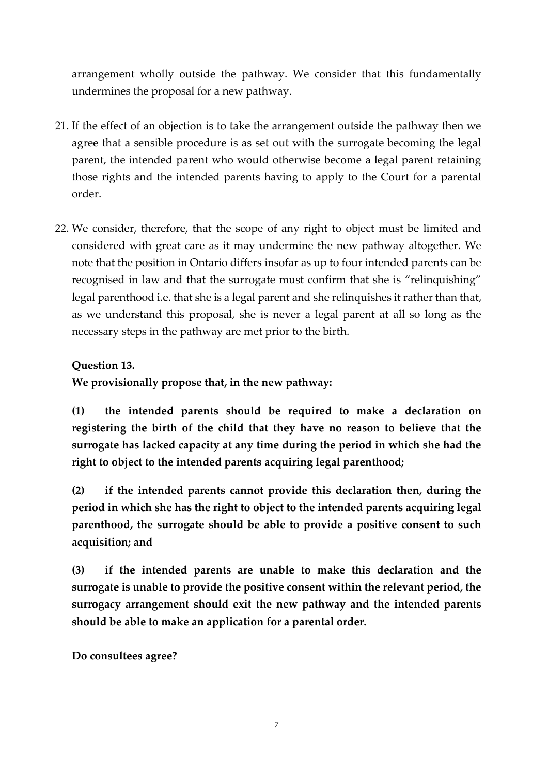arrangement wholly outside the pathway. We consider that this fundamentally undermines the proposal for a new pathway.

- 21. If the effect of an objection is to take the arrangement outside the pathway then we agree that a sensible procedure is as set out with the surrogate becoming the legal parent, the intended parent who would otherwise become a legal parent retaining those rights and the intended parents having to apply to the Court for a parental order.
- 22. We consider, therefore, that the scope of any right to object must be limited and considered with great care as it may undermine the new pathway altogether. We note that the position in Ontario differs insofar as up to four intended parents can be recognised in law and that the surrogate must confirm that she is "relinquishing" legal parenthood i.e. that she is a legal parent and she relinquishes it rather than that, as we understand this proposal, she is never a legal parent at all so long as the necessary steps in the pathway are met prior to the birth.

# **Question 13.**

**We provisionally propose that, in the new pathway:** 

**(1) the intended parents should be required to make a declaration on registering the birth of the child that they have no reason to believe that the surrogate has lacked capacity at any time during the period in which she had the right to object to the intended parents acquiring legal parenthood;** 

**(2) if the intended parents cannot provide this declaration then, during the period in which she has the right to object to the intended parents acquiring legal parenthood, the surrogate should be able to provide a positive consent to such acquisition; and** 

**(3) if the intended parents are unable to make this declaration and the surrogate is unable to provide the positive consent within the relevant period, the surrogacy arrangement should exit the new pathway and the intended parents should be able to make an application for a parental order.**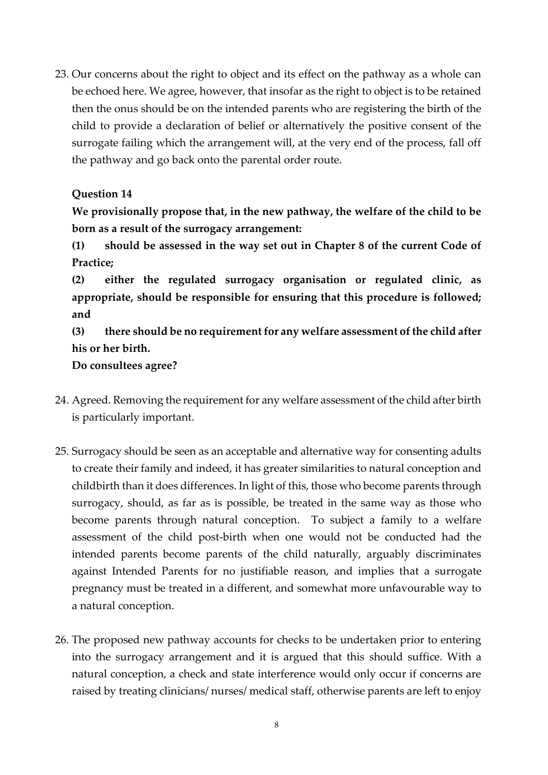23. Our concerns about the right to object and its effect on the pathway as a whole can be echoed here. We agree, however, that insofar as the right to object is to be retained then the onus should be on the intended parents who are registering the birth of the child to provide a declaration of belief or alternatively the positive consent of the surrogate failing which the arrangement will, at the very end of the process, fall off the pathway and go back onto the parental order route.

## **Question 14**

**We provisionally propose that, in the new pathway, the welfare of the child to be born as a result of the surrogacy arrangement:**

**(1) should be assessed in the way set out in Chapter 8 of the current Code of Practice;**

**(2) either the regulated surrogacy organisation or regulated clinic, as appropriate, should be responsible for ensuring that this procedure is followed; and**

**(3) there should be no requirement for any welfare assessment of the child after his or her birth.**

- 24. Agreed. Removing the requirement for any welfare assessment of the child after birth is particularly important.
- 25. Surrogacy should be seen as an acceptable and alternative way for consenting adults to create their family and indeed, it has greater similarities to natural conception and childbirth than it does differences. In light of this, those who become parents through surrogacy, should, as far as is possible, be treated in the same way as those who become parents through natural conception. To subject a family to a welfare assessment of the child post-birth when one would not be conducted had the intended parents become parents of the child naturally, arguably discriminates against Intended Parents for no justifiable reason, and implies that a surrogate pregnancy must be treated in a different, and somewhat more unfavourable way to a natural conception.
- 26. The proposed new pathway accounts for checks to be undertaken prior to entering into the surrogacy arrangement and it is argued that this should suffice. With a natural conception, a check and state interference would only occur if concerns are raised by treating clinicians/ nurses/ medical staff, otherwise parents are left to enjoy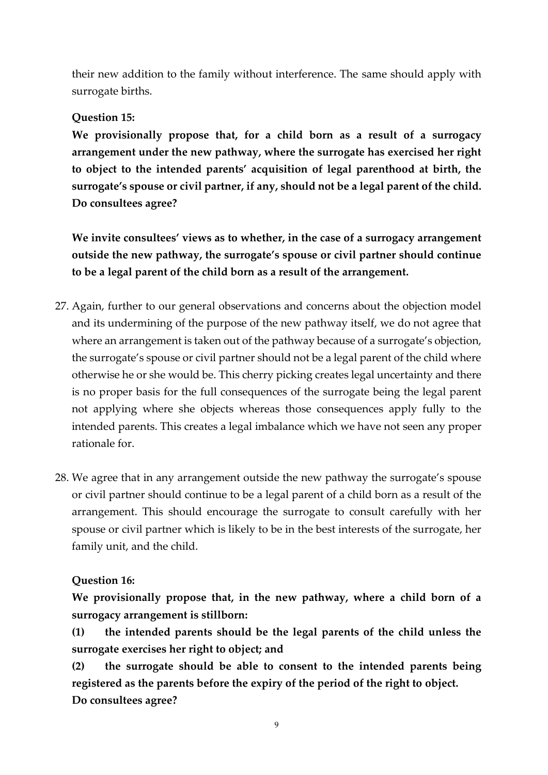their new addition to the family without interference. The same should apply with surrogate births.

## **Question 15:**

**We provisionally propose that, for a child born as a result of a surrogacy arrangement under the new pathway, where the surrogate has exercised her right to object to the intended parents' acquisition of legal parenthood at birth, the surrogate's spouse or civil partner, if any, should not be a legal parent of the child. Do consultees agree?** 

**We invite consultees' views as to whether, in the case of a surrogacy arrangement outside the new pathway, the surrogate's spouse or civil partner should continue to be a legal parent of the child born as a result of the arrangement.**

- 27. Again, further to our general observations and concerns about the objection model and its undermining of the purpose of the new pathway itself, we do not agree that where an arrangement is taken out of the pathway because of a surrogate's objection, the surrogate's spouse or civil partner should not be a legal parent of the child where otherwise he or she would be. This cherry picking creates legal uncertainty and there is no proper basis for the full consequences of the surrogate being the legal parent not applying where she objects whereas those consequences apply fully to the intended parents. This creates a legal imbalance which we have not seen any proper rationale for.
- 28. We agree that in any arrangement outside the new pathway the surrogate's spouse or civil partner should continue to be a legal parent of a child born as a result of the arrangement. This should encourage the surrogate to consult carefully with her spouse or civil partner which is likely to be in the best interests of the surrogate, her family unit, and the child.

# **Question 16:**

**We provisionally propose that, in the new pathway, where a child born of a surrogacy arrangement is stillborn:**

**(1) the intended parents should be the legal parents of the child unless the surrogate exercises her right to object; and**

**(2) the surrogate should be able to consent to the intended parents being registered as the parents before the expiry of the period of the right to object. Do consultees agree?**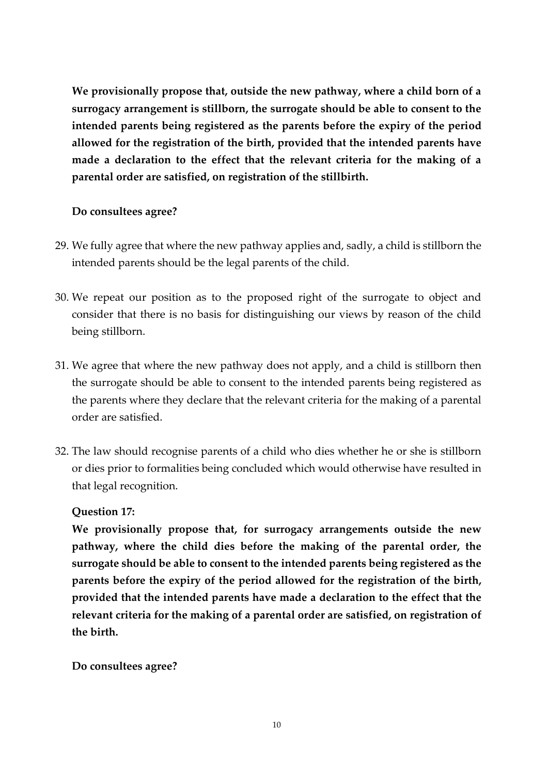**We provisionally propose that, outside the new pathway, where a child born of a surrogacy arrangement is stillborn, the surrogate should be able to consent to the intended parents being registered as the parents before the expiry of the period allowed for the registration of the birth, provided that the intended parents have made a declaration to the effect that the relevant criteria for the making of a parental order are satisfied, on registration of the stillbirth.**

### **Do consultees agree?**

- 29. We fully agree that where the new pathway applies and, sadly, a child is stillborn the intended parents should be the legal parents of the child.
- 30. We repeat our position as to the proposed right of the surrogate to object and consider that there is no basis for distinguishing our views by reason of the child being stillborn.
- 31. We agree that where the new pathway does not apply, and a child is stillborn then the surrogate should be able to consent to the intended parents being registered as the parents where they declare that the relevant criteria for the making of a parental order are satisfied.
- 32. The law should recognise parents of a child who dies whether he or she is stillborn or dies prior to formalities being concluded which would otherwise have resulted in that legal recognition.

### **Question 17:**

**We provisionally propose that, for surrogacy arrangements outside the new pathway, where the child dies before the making of the parental order, the surrogate should be able to consent to the intended parents being registered as the parents before the expiry of the period allowed for the registration of the birth, provided that the intended parents have made a declaration to the effect that the relevant criteria for the making of a parental order are satisfied, on registration of the birth.**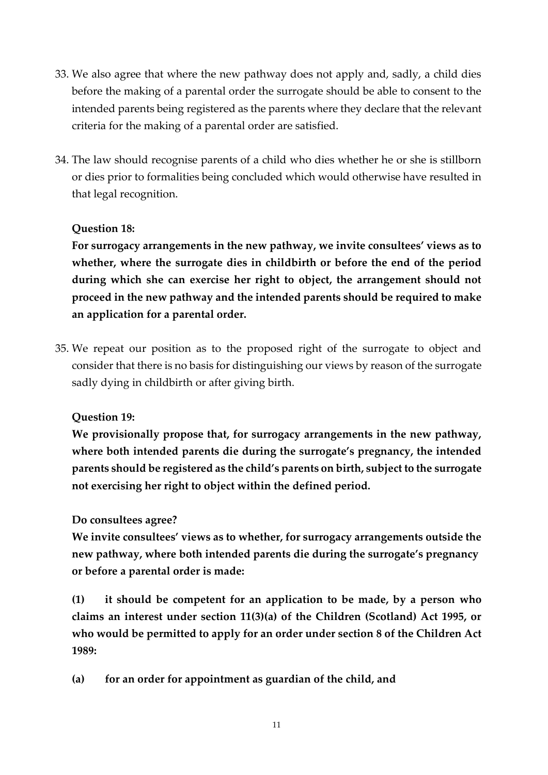- 33. We also agree that where the new pathway does not apply and, sadly, a child dies before the making of a parental order the surrogate should be able to consent to the intended parents being registered as the parents where they declare that the relevant criteria for the making of a parental order are satisfied.
- 34. The law should recognise parents of a child who dies whether he or she is stillborn or dies prior to formalities being concluded which would otherwise have resulted in that legal recognition.

### **Question 18:**

**For surrogacy arrangements in the new pathway, we invite consultees' views as to whether, where the surrogate dies in childbirth or before the end of the period during which she can exercise her right to object, the arrangement should not proceed in the new pathway and the intended parents should be required to make an application for a parental order.**

35. We repeat our position as to the proposed right of the surrogate to object and consider that there is no basis for distinguishing our views by reason of the surrogate sadly dying in childbirth or after giving birth.

**Question 19:**

**We provisionally propose that, for surrogacy arrangements in the new pathway, where both intended parents die during the surrogate's pregnancy, the intended parents should be registered as the child's parents on birth, subject to the surrogate not exercising her right to object within the defined period.**

**Do consultees agree?**

**We invite consultees' views as to whether, for surrogacy arrangements outside the new pathway, where both intended parents die during the surrogate's pregnancy or before a parental order is made:**

**(1) it should be competent for an application to be made, by a person who claims an interest under section 11(3)(a) of the Children (Scotland) Act 1995, or who would be permitted to apply for an order under section 8 of the Children Act 1989:** 

**(a) for an order for appointment as guardian of the child, and**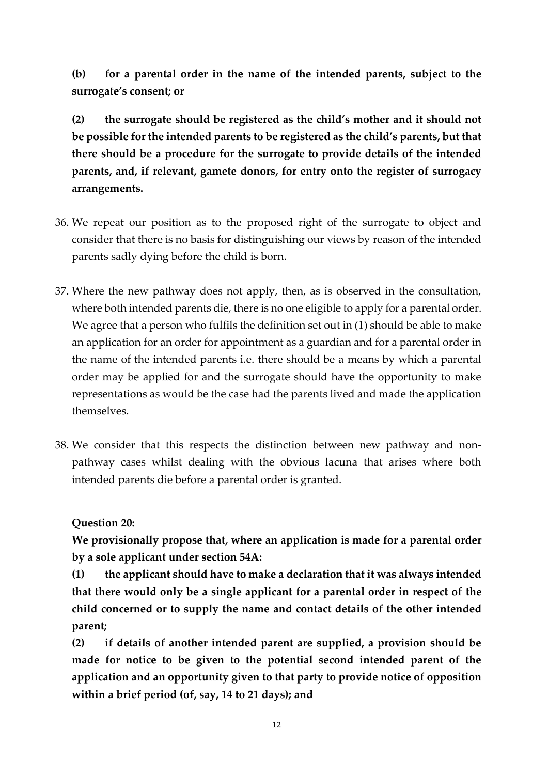**(b) for a parental order in the name of the intended parents, subject to the surrogate's consent; or** 

**(2) the surrogate should be registered as the child's mother and it should not be possible for the intended parents to be registered as the child's parents, but that there should be a procedure for the surrogate to provide details of the intended parents, and, if relevant, gamete donors, for entry onto the register of surrogacy arrangements.**

- 36. We repeat our position as to the proposed right of the surrogate to object and consider that there is no basis for distinguishing our views by reason of the intended parents sadly dying before the child is born.
- 37. Where the new pathway does not apply, then, as is observed in the consultation, where both intended parents die, there is no one eligible to apply for a parental order. We agree that a person who fulfils the definition set out in (1) should be able to make an application for an order for appointment as a guardian and for a parental order in the name of the intended parents i.e. there should be a means by which a parental order may be applied for and the surrogate should have the opportunity to make representations as would be the case had the parents lived and made the application themselves.
- 38. We consider that this respects the distinction between new pathway and nonpathway cases whilst dealing with the obvious lacuna that arises where both intended parents die before a parental order is granted.

**Question 20:**

**We provisionally propose that, where an application is made for a parental order by a sole applicant under section 54A:**

**(1) the applicant should have to make a declaration that it was always intended that there would only be a single applicant for a parental order in respect of the child concerned or to supply the name and contact details of the other intended parent;**

**(2) if details of another intended parent are supplied, a provision should be made for notice to be given to the potential second intended parent of the application and an opportunity given to that party to provide notice of opposition within a brief period (of, say, 14 to 21 days); and**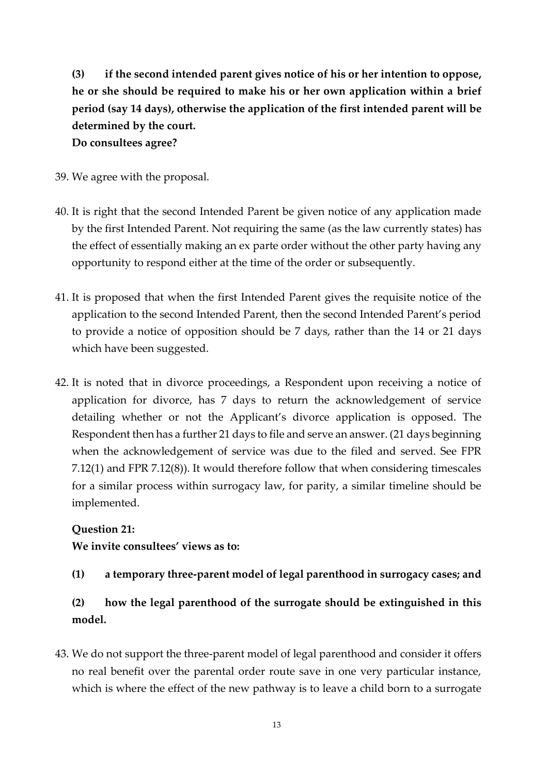**(3) if the second intended parent gives notice of his or her intention to oppose, he or she should be required to make his or her own application within a brief period (say 14 days), otherwise the application of the first intended parent will be determined by the court.**

**Do consultees agree?**

- 39. We agree with the proposal.
- 40. It is right that the second Intended Parent be given notice of any application made by the first Intended Parent. Not requiring the same (as the law currently states) has the effect of essentially making an ex parte order without the other party having any opportunity to respond either at the time of the order or subsequently.
- 41. It is proposed that when the first Intended Parent gives the requisite notice of the application to the second Intended Parent, then the second Intended Parent's period to provide a notice of opposition should be 7 days, rather than the 14 or 21 days which have been suggested.
- 42. It is noted that in divorce proceedings, a Respondent upon receiving a notice of application for divorce, has 7 days to return the acknowledgement of service detailing whether or not the Applicant's divorce application is opposed. The Respondent then has a further 21 days to file and serve an answer. (21 days beginning when the acknowledgement of service was due to the filed and served. See FPR 7.12(1) and FPR 7.12(8)). It would therefore follow that when considering timescales for a similar process within surrogacy law, for parity, a similar timeline should be implemented.

### **Question 21:**

**We invite consultees' views as to:** 

## **(1) a temporary three-parent model of legal parenthood in surrogacy cases; and**

# **(2) how the legal parenthood of the surrogate should be extinguished in this model.**

43. We do not support the three-parent model of legal parenthood and consider it offers no real benefit over the parental order route save in one very particular instance, which is where the effect of the new pathway is to leave a child born to a surrogate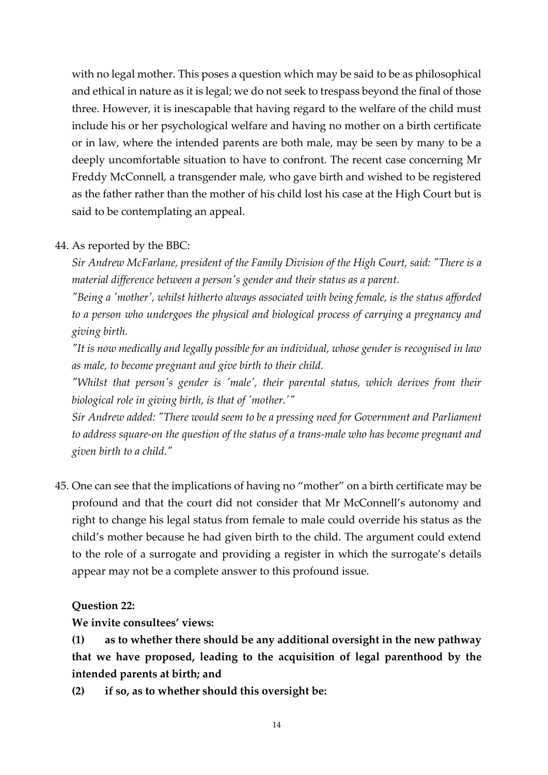with no legal mother. This poses a question which may be said to be as philosophical and ethical in nature as it is legal; we do not seek to trespass beyond the final of those three. However, it is inescapable that having regard to the welfare of the child must include his or her psychological welfare and having no mother on a birth certificate or in law, where the intended parents are both male, may be seen by many to be a deeply uncomfortable situation to have to confront. The recent case concerning Mr Freddy McConnell, a transgender male, who gave birth and wished to be registered as the father rather than the mother of his child lost his case at the High Court but is said to be contemplating an appeal.

### 44. As reported by the BBC:

*Sir Andrew McFarlane, president of the Family Division of the High Court, said: "There is a material difference between a person's gender and their status as a parent.*

*"Being a 'mother', whilst hitherto always associated with being female, is the status afforded to a person who undergoes the physical and biological process of carrying a pregnancy and giving birth.*

*"It is now medically and legally possible for an individual, whose gender is recognised in law as male, to become pregnant and give birth to their child.*

*"Whilst that person's gender is 'male', their parental status, which derives from their biological role in giving birth, is that of 'mother.'"*

*Sir Andrew added: "There would seem to be a pressing need for Government and Parliament to address square-on the question of the status of a trans-male who has become pregnant and given birth to a child."*

45. One can see that the implications of having no "mother" on a birth certificate may be profound and that the court did not consider that Mr McConnell's autonomy and right to change his legal status from female to male could override his status as the child's mother because he had given birth to the child. The argument could extend to the role of a surrogate and providing a register in which the surrogate's details appear may not be a complete answer to this profound issue.

#### **Question 22:**

**We invite consultees' views:**

**(1) as to whether there should be any additional oversight in the new pathway that we have proposed, leading to the acquisition of legal parenthood by the intended parents at birth; and**

**(2) if so, as to whether should this oversight be:**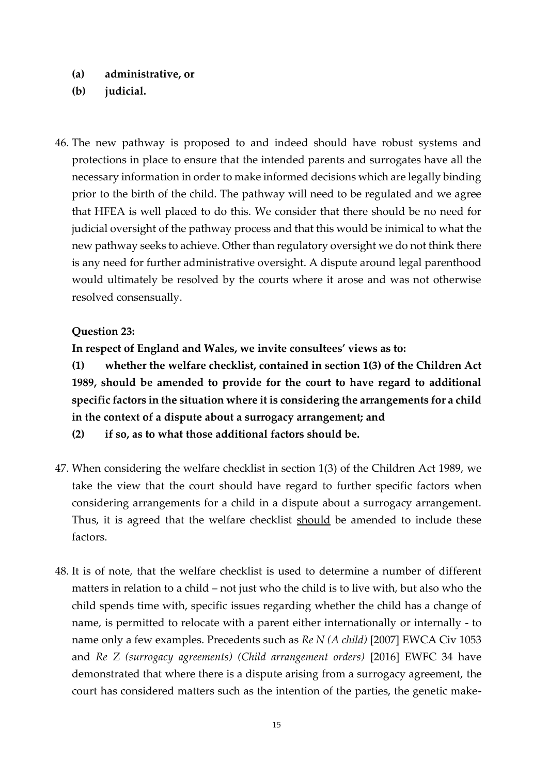- **(a) administrative, or**
- **(b) judicial.**
- 46. The new pathway is proposed to and indeed should have robust systems and protections in place to ensure that the intended parents and surrogates have all the necessary information in order to make informed decisions which are legally binding prior to the birth of the child. The pathway will need to be regulated and we agree that HFEA is well placed to do this. We consider that there should be no need for judicial oversight of the pathway process and that this would be inimical to what the new pathway seeks to achieve. Other than regulatory oversight we do not think there is any need for further administrative oversight. A dispute around legal parenthood would ultimately be resolved by the courts where it arose and was not otherwise resolved consensually.

#### **Question 23:**

**In respect of England and Wales, we invite consultees' views as to:**

**(1) whether the welfare checklist, contained in section 1(3) of the Children Act 1989, should be amended to provide for the court to have regard to additional specific factors in the situation where it is considering the arrangements for a child in the context of a dispute about a surrogacy arrangement; and**

**(2) if so, as to what those additional factors should be.**

- 47. When considering the welfare checklist in section 1(3) of the Children Act 1989, we take the view that the court should have regard to further specific factors when considering arrangements for a child in a dispute about a surrogacy arrangement. Thus, it is agreed that the welfare checklist should be amended to include these factors.
- 48. It is of note, that the welfare checklist is used to determine a number of different matters in relation to a child – not just who the child is to live with, but also who the child spends time with, specific issues regarding whether the child has a change of name, is permitted to relocate with a parent either internationally or internally - to name only a few examples. Precedents such as *Re N (A child)* [2007] EWCA Civ 1053 and *Re Z (surrogacy agreements) (Child arrangement orders)* [2016] EWFC 34 have demonstrated that where there is a dispute arising from a surrogacy agreement, the court has considered matters such as the intention of the parties, the genetic make-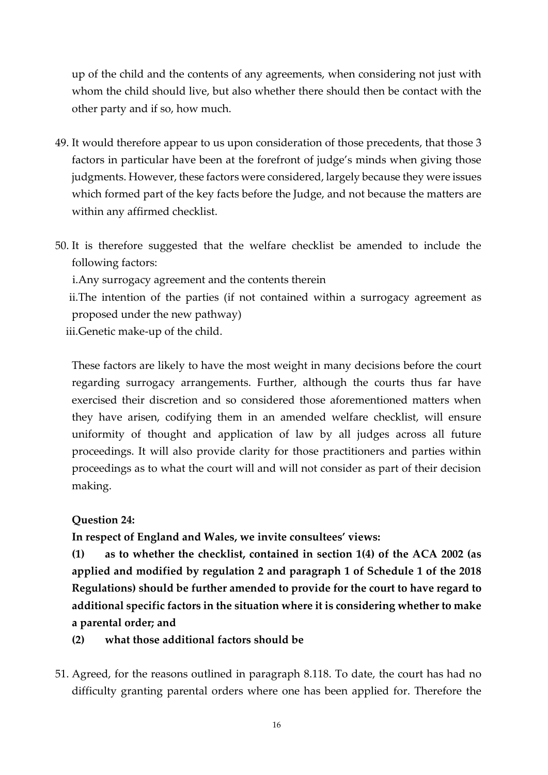up of the child and the contents of any agreements, when considering not just with whom the child should live, but also whether there should then be contact with the other party and if so, how much.

- 49. It would therefore appear to us upon consideration of those precedents, that those 3 factors in particular have been at the forefront of judge's minds when giving those judgments. However, these factors were considered, largely because they were issues which formed part of the key facts before the Judge, and not because the matters are within any affirmed checklist.
- 50. It is therefore suggested that the welfare checklist be amended to include the following factors:

i.Any surrogacy agreement and the contents therein

ii.The intention of the parties (if not contained within a surrogacy agreement as proposed under the new pathway)

iii.Genetic make-up of the child.

These factors are likely to have the most weight in many decisions before the court regarding surrogacy arrangements. Further, although the courts thus far have exercised their discretion and so considered those aforementioned matters when they have arisen, codifying them in an amended welfare checklist, will ensure uniformity of thought and application of law by all judges across all future proceedings. It will also provide clarity for those practitioners and parties within proceedings as to what the court will and will not consider as part of their decision making.

### **Question 24:**

**In respect of England and Wales, we invite consultees' views:**

**(1) as to whether the checklist, contained in section 1(4) of the ACA 2002 (as applied and modified by regulation 2 and paragraph 1 of Schedule 1 of the 2018 Regulations) should be further amended to provide for the court to have regard to additional specific factors in the situation where it is considering whether to make a parental order; and**

**(2) what those additional factors should be**

51. Agreed, for the reasons outlined in paragraph 8.118. To date, the court has had no difficulty granting parental orders where one has been applied for. Therefore the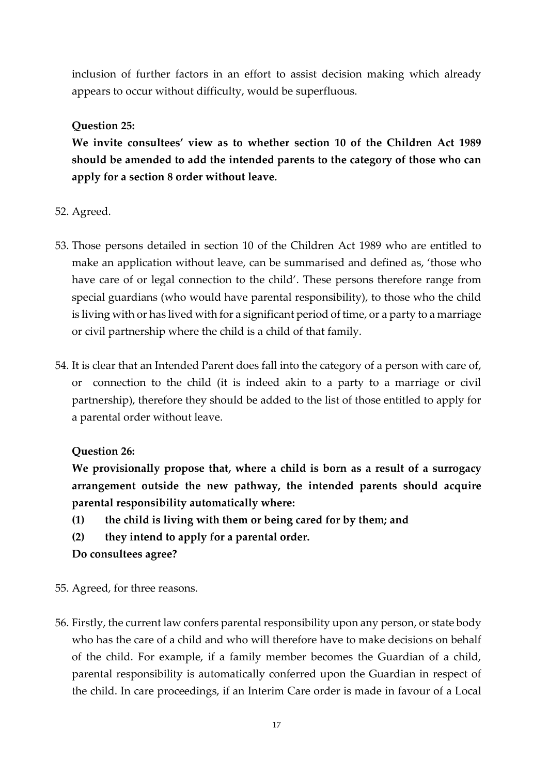inclusion of further factors in an effort to assist decision making which already appears to occur without difficulty, would be superfluous.

### **Question 25:**

**We invite consultees' view as to whether section 10 of the Children Act 1989 should be amended to add the intended parents to the category of those who can apply for a section 8 order without leave.**

- 52. Agreed.
- 53. Those persons detailed in section 10 of the Children Act 1989 who are entitled to make an application without leave, can be summarised and defined as, 'those who have care of or legal connection to the child'. These persons therefore range from special guardians (who would have parental responsibility), to those who the child is living with or has lived with for a significant period of time, or a party to a marriage or civil partnership where the child is a child of that family.
- 54. It is clear that an Intended Parent does fall into the category of a person with care of, or connection to the child (it is indeed akin to a party to a marriage or civil partnership), therefore they should be added to the list of those entitled to apply for a parental order without leave.

## **Question 26:**

**We provisionally propose that, where a child is born as a result of a surrogacy arrangement outside the new pathway, the intended parents should acquire parental responsibility automatically where:**

- **(1) the child is living with them or being cared for by them; and**
- **(2) they intend to apply for a parental order.**

- 55. Agreed, for three reasons.
- 56. Firstly, the current law confers parental responsibility upon any person, or state body who has the care of a child and who will therefore have to make decisions on behalf of the child. For example, if a family member becomes the Guardian of a child, parental responsibility is automatically conferred upon the Guardian in respect of the child. In care proceedings, if an Interim Care order is made in favour of a Local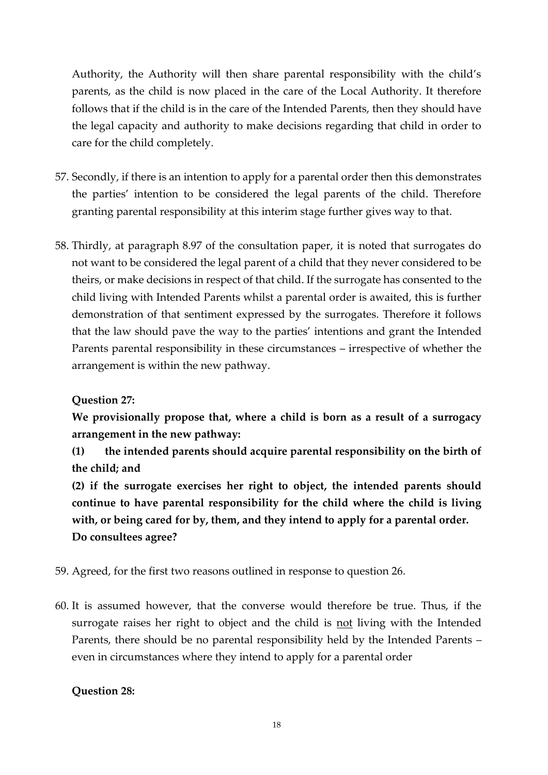Authority, the Authority will then share parental responsibility with the child's parents, as the child is now placed in the care of the Local Authority. It therefore follows that if the child is in the care of the Intended Parents, then they should have the legal capacity and authority to make decisions regarding that child in order to care for the child completely.

- 57. Secondly, if there is an intention to apply for a parental order then this demonstrates the parties' intention to be considered the legal parents of the child. Therefore granting parental responsibility at this interim stage further gives way to that.
- 58. Thirdly, at paragraph 8.97 of the consultation paper, it is noted that surrogates do not want to be considered the legal parent of a child that they never considered to be theirs, or make decisions in respect of that child. If the surrogate has consented to the child living with Intended Parents whilst a parental order is awaited, this is further demonstration of that sentiment expressed by the surrogates. Therefore it follows that the law should pave the way to the parties' intentions and grant the Intended Parents parental responsibility in these circumstances – irrespective of whether the arrangement is within the new pathway.

## **Question 27:**

**We provisionally propose that, where a child is born as a result of a surrogacy arrangement in the new pathway:**

**(1) the intended parents should acquire parental responsibility on the birth of the child; and**

**(2) if the surrogate exercises her right to object, the intended parents should continue to have parental responsibility for the child where the child is living with, or being cared for by, them, and they intend to apply for a parental order. Do consultees agree?**

- 59. Agreed, for the first two reasons outlined in response to question 26*.*
- 60. It is assumed however, that the converse would therefore be true. Thus, if the surrogate raises her right to object and the child is not living with the Intended Parents, there should be no parental responsibility held by the Intended Parents – even in circumstances where they intend to apply for a parental order

### **Question 28:**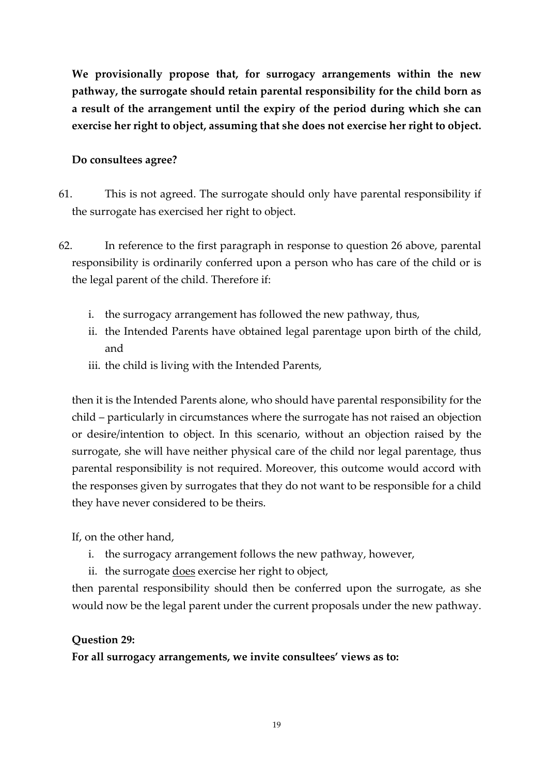**We provisionally propose that, for surrogacy arrangements within the new pathway, the surrogate should retain parental responsibility for the child born as a result of the arrangement until the expiry of the period during which she can exercise her right to object, assuming that she does not exercise her right to object.**

### **Do consultees agree?**

- 61. This is not agreed. The surrogate should only have parental responsibility if the surrogate has exercised her right to object.
- 62. In reference to the first paragraph in response to question 26 above, parental responsibility is ordinarily conferred upon a person who has care of the child or is the legal parent of the child. Therefore if:
	- i. the surrogacy arrangement has followed the new pathway, thus,
	- ii. the Intended Parents have obtained legal parentage upon birth of the child, and
	- iii. the child is living with the Intended Parents,

then it is the Intended Parents alone, who should have parental responsibility for the child – particularly in circumstances where the surrogate has not raised an objection or desire/intention to object. In this scenario, without an objection raised by the surrogate, she will have neither physical care of the child nor legal parentage, thus parental responsibility is not required. Moreover, this outcome would accord with the responses given by surrogates that they do not want to be responsible for a child they have never considered to be theirs.

If, on the other hand,

- i. the surrogacy arrangement follows the new pathway, however,
- ii. the surrogate does exercise her right to object,

then parental responsibility should then be conferred upon the surrogate, as she would now be the legal parent under the current proposals under the new pathway.

### **Question 29:**

**For all surrogacy arrangements, we invite consultees' views as to:**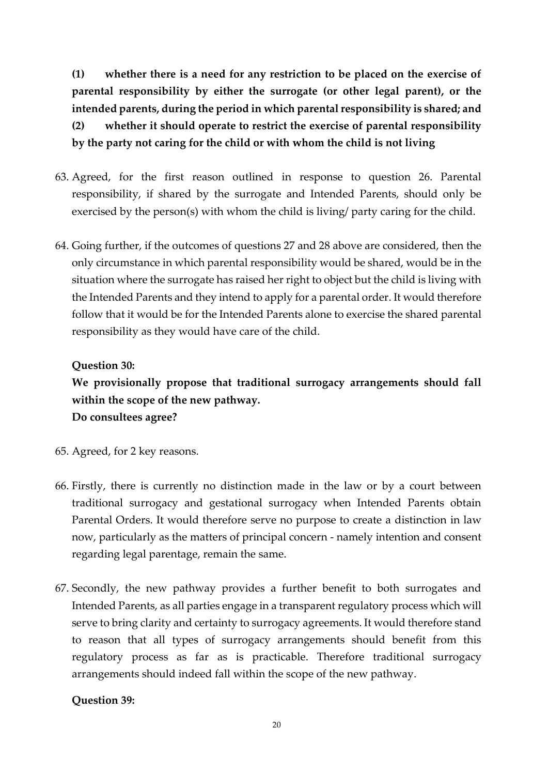**(1) whether there is a need for any restriction to be placed on the exercise of parental responsibility by either the surrogate (or other legal parent), or the intended parents, during the period in which parental responsibility is shared; and (2) whether it should operate to restrict the exercise of parental responsibility by the party not caring for the child or with whom the child is not living**

- 63. Agreed, for the first reason outlined in response to question 26. Parental responsibility, if shared by the surrogate and Intended Parents, should only be exercised by the person(s) with whom the child is living/ party caring for the child.
- 64. Going further, if the outcomes of questions 27 and 28 above are considered, then the only circumstance in which parental responsibility would be shared, would be in the situation where the surrogate has raised her right to object but the child is living with the Intended Parents and they intend to apply for a parental order. It would therefore follow that it would be for the Intended Parents alone to exercise the shared parental responsibility as they would have care of the child.

### **Question 30:**

**We provisionally propose that traditional surrogacy arrangements should fall within the scope of the new pathway. Do consultees agree?**

- 65. Agreed, for 2 key reasons.
- 66. Firstly, there is currently no distinction made in the law or by a court between traditional surrogacy and gestational surrogacy when Intended Parents obtain Parental Orders. It would therefore serve no purpose to create a distinction in law now, particularly as the matters of principal concern - namely intention and consent regarding legal parentage, remain the same.
- 67. Secondly, the new pathway provides a further benefit to both surrogates and Intended Parents, as all parties engage in a transparent regulatory process which will serve to bring clarity and certainty to surrogacy agreements. It would therefore stand to reason that all types of surrogacy arrangements should benefit from this regulatory process as far as is practicable. Therefore traditional surrogacy arrangements should indeed fall within the scope of the new pathway.

### **Question 39:**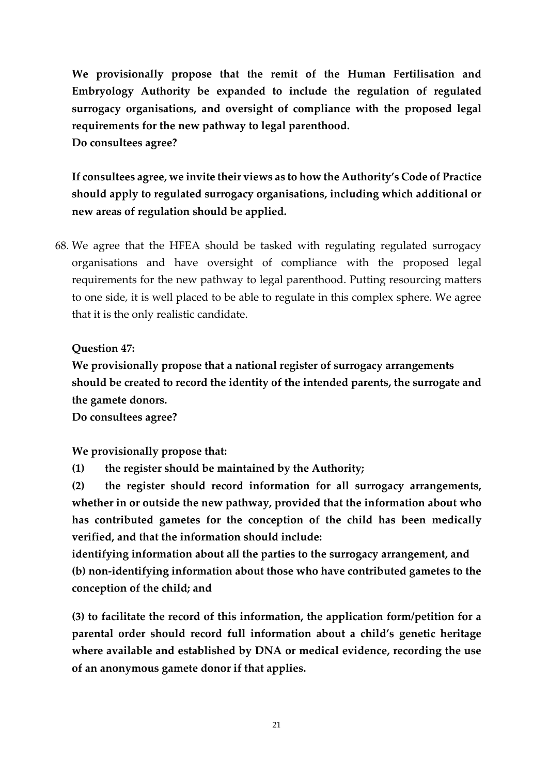**We provisionally propose that the remit of the Human Fertilisation and Embryology Authority be expanded to include the regulation of regulated surrogacy organisations, and oversight of compliance with the proposed legal requirements for the new pathway to legal parenthood. Do consultees agree?** 

**If consultees agree, we invite their views as to how the Authority's Code of Practice should apply to regulated surrogacy organisations, including which additional or new areas of regulation should be applied.**

68. We agree that the HFEA should be tasked with regulating regulated surrogacy organisations and have oversight of compliance with the proposed legal requirements for the new pathway to legal parenthood. Putting resourcing matters to one side, it is well placed to be able to regulate in this complex sphere. We agree that it is the only realistic candidate.

### **Question 47:**

**We provisionally propose that a national register of surrogacy arrangements should be created to record the identity of the intended parents, the surrogate and the gamete donors.**

**Do consultees agree?**

**We provisionally propose that:**

**(1) the register should be maintained by the Authority;**

**(2) the register should record information for all surrogacy arrangements, whether in or outside the new pathway, provided that the information about who has contributed gametes for the conception of the child has been medically verified, and that the information should include:**

**identifying information about all the parties to the surrogacy arrangement, and (b) non-identifying information about those who have contributed gametes to the conception of the child; and**

**(3) to facilitate the record of this information, the application form/petition for a parental order should record full information about a child's genetic heritage where available and established by DNA or medical evidence, recording the use of an anonymous gamete donor if that applies.**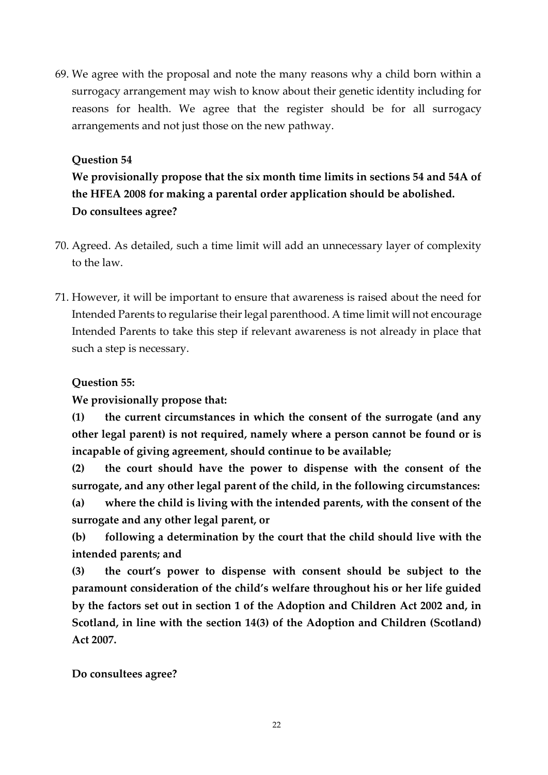69. We agree with the proposal and note the many reasons why a child born within a surrogacy arrangement may wish to know about their genetic identity including for reasons for health. We agree that the register should be for all surrogacy arrangements and not just those on the new pathway.

### **Question 54**

**We provisionally propose that the six month time limits in sections 54 and 54A of the HFEA 2008 for making a parental order application should be abolished. Do consultees agree?**

- 70. Agreed. As detailed, such a time limit will add an unnecessary layer of complexity to the law.
- 71. However, it will be important to ensure that awareness is raised about the need for Intended Parents to regularise their legal parenthood. A time limit will not encourage Intended Parents to take this step if relevant awareness is not already in place that such a step is necessary.

### **Question 55:**

**We provisionally propose that:**

**(1) the current circumstances in which the consent of the surrogate (and any other legal parent) is not required, namely where a person cannot be found or is incapable of giving agreement, should continue to be available;**

**(2) the court should have the power to dispense with the consent of the surrogate, and any other legal parent of the child, in the following circumstances: (a) where the child is living with the intended parents, with the consent of the surrogate and any other legal parent, or**

**(b) following a determination by the court that the child should live with the intended parents; and**

**(3) the court's power to dispense with consent should be subject to the paramount consideration of the child's welfare throughout his or her life guided by the factors set out in section 1 of the Adoption and Children Act 2002 and, in Scotland, in line with the section 14(3) of the Adoption and Children (Scotland) Act 2007.**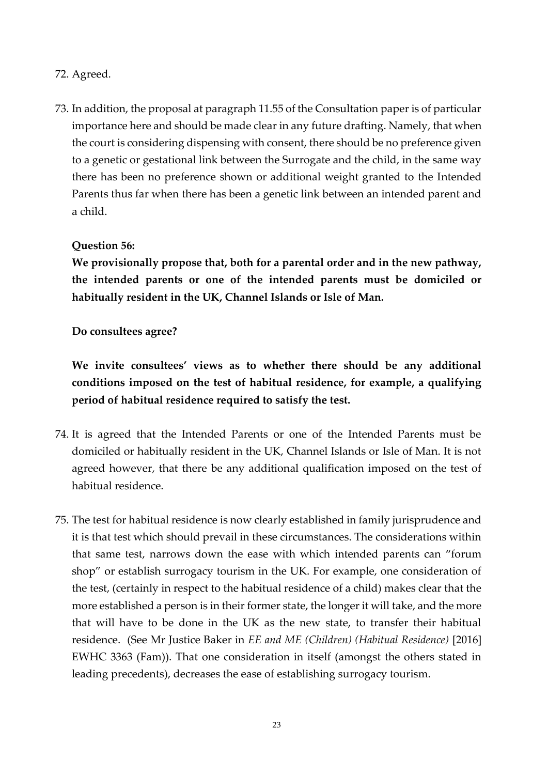### 72. Agreed.

73. In addition, the proposal at paragraph 11.55 of the Consultation paper is of particular importance here and should be made clear in any future drafting. Namely, that when the court is considering dispensing with consent, there should be no preference given to a genetic or gestational link between the Surrogate and the child, in the same way there has been no preference shown or additional weight granted to the Intended Parents thus far when there has been a genetic link between an intended parent and a child.

## **Question 56:**

**We provisionally propose that, both for a parental order and in the new pathway, the intended parents or one of the intended parents must be domiciled or habitually resident in the UK, Channel Islands or Isle of Man.**

### **Do consultees agree?**

**We invite consultees' views as to whether there should be any additional conditions imposed on the test of habitual residence, for example, a qualifying period of habitual residence required to satisfy the test.**

- 74. It is agreed that the Intended Parents or one of the Intended Parents must be domiciled or habitually resident in the UK, Channel Islands or Isle of Man. It is not agreed however, that there be any additional qualification imposed on the test of habitual residence.
- 75. The test for habitual residence is now clearly established in family jurisprudence and it is that test which should prevail in these circumstances. The considerations within that same test, narrows down the ease with which intended parents can "forum shop" or establish surrogacy tourism in the UK. For example, one consideration of the test, (certainly in respect to the habitual residence of a child) makes clear that the more established a person is in their former state, the longer it will take, and the more that will have to be done in the UK as the new state, to transfer their habitual residence. (See Mr Justice Baker in *EE and ME (Children) (Habitual Residence)* [2016] EWHC 3363 (Fam)). That one consideration in itself (amongst the others stated in leading precedents), decreases the ease of establishing surrogacy tourism.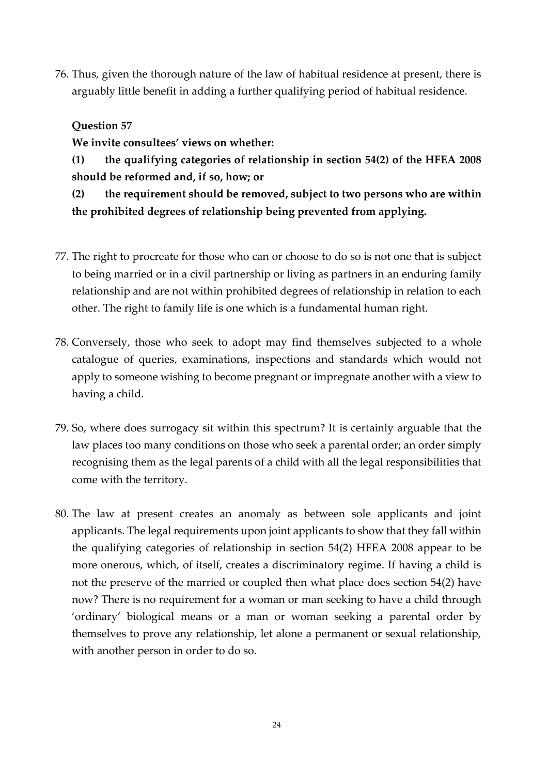76. Thus, given the thorough nature of the law of habitual residence at present, there is arguably little benefit in adding a further qualifying period of habitual residence.

### **Question 57**

**We invite consultees' views on whether:**

**(1) the qualifying categories of relationship in section 54(2) of the HFEA 2008 should be reformed and, if so, how; or**

**(2) the requirement should be removed, subject to two persons who are within the prohibited degrees of relationship being prevented from applying.**

- 77. The right to procreate for those who can or choose to do so is not one that is subject to being married or in a civil partnership or living as partners in an enduring family relationship and are not within prohibited degrees of relationship in relation to each other. The right to family life is one which is a fundamental human right.
- 78. Conversely, those who seek to adopt may find themselves subjected to a whole catalogue of queries, examinations, inspections and standards which would not apply to someone wishing to become pregnant or impregnate another with a view to having a child.
- 79. So, where does surrogacy sit within this spectrum? It is certainly arguable that the law places too many conditions on those who seek a parental order; an order simply recognising them as the legal parents of a child with all the legal responsibilities that come with the territory.
- 80. The law at present creates an anomaly as between sole applicants and joint applicants. The legal requirements upon joint applicants to show that they fall within the qualifying categories of relationship in section 54(2) HFEA 2008 appear to be more onerous, which, of itself, creates a discriminatory regime. If having a child is not the preserve of the married or coupled then what place does section 54(2) have now? There is no requirement for a woman or man seeking to have a child through 'ordinary' biological means or a man or woman seeking a parental order by themselves to prove any relationship, let alone a permanent or sexual relationship, with another person in order to do so.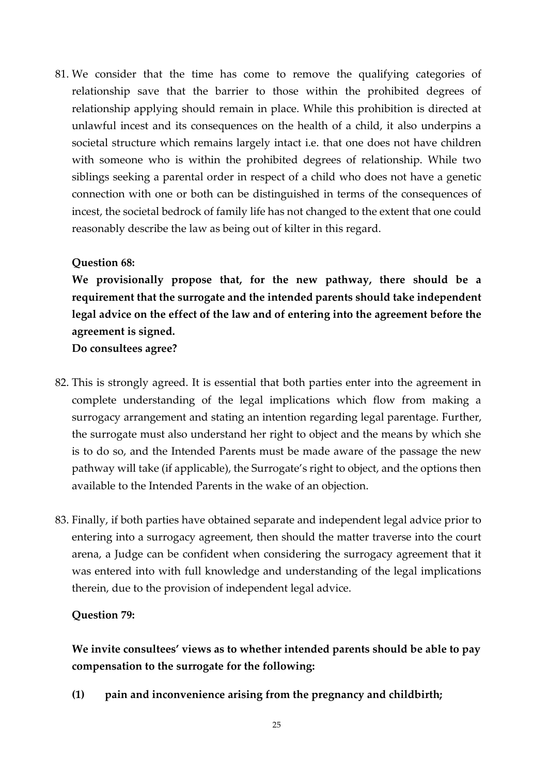81. We consider that the time has come to remove the qualifying categories of relationship save that the barrier to those within the prohibited degrees of relationship applying should remain in place. While this prohibition is directed at unlawful incest and its consequences on the health of a child, it also underpins a societal structure which remains largely intact i.e. that one does not have children with someone who is within the prohibited degrees of relationship. While two siblings seeking a parental order in respect of a child who does not have a genetic connection with one or both can be distinguished in terms of the consequences of incest, the societal bedrock of family life has not changed to the extent that one could reasonably describe the law as being out of kilter in this regard.

### **Question 68:**

**We provisionally propose that, for the new pathway, there should be a requirement that the surrogate and the intended parents should take independent legal advice on the effect of the law and of entering into the agreement before the agreement is signed. Do consultees agree?**

- 82. This is strongly agreed. It is essential that both parties enter into the agreement in complete understanding of the legal implications which flow from making a surrogacy arrangement and stating an intention regarding legal parentage. Further, the surrogate must also understand her right to object and the means by which she is to do so, and the Intended Parents must be made aware of the passage the new pathway will take (if applicable), the Surrogate's right to object, and the options then available to the Intended Parents in the wake of an objection.
- 83. Finally, if both parties have obtained separate and independent legal advice prior to entering into a surrogacy agreement, then should the matter traverse into the court arena, a Judge can be confident when considering the surrogacy agreement that it was entered into with full knowledge and understanding of the legal implications therein, due to the provision of independent legal advice.

#### **Question 79:**

**We invite consultees' views as to whether intended parents should be able to pay compensation to the surrogate for the following:** 

**(1) pain and inconvenience arising from the pregnancy and childbirth;**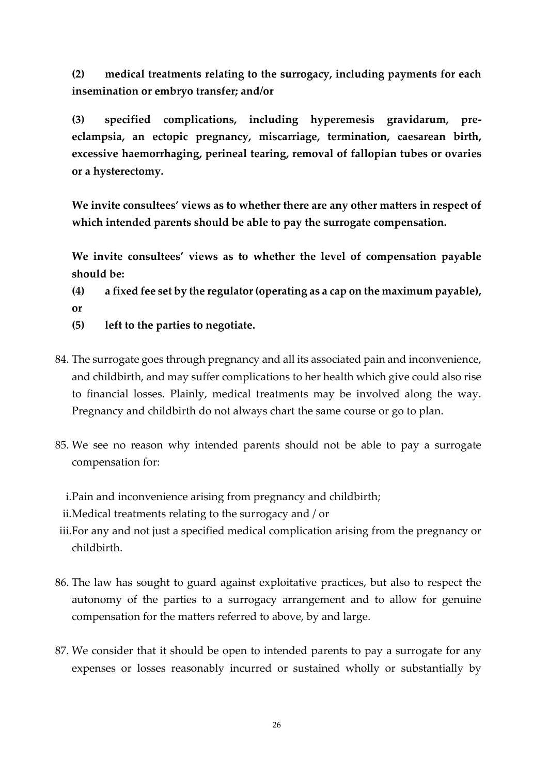**(2) medical treatments relating to the surrogacy, including payments for each insemination or embryo transfer; and/or** 

**(3) specified complications, including hyperemesis gravidarum, preeclampsia, an ectopic pregnancy, miscarriage, termination, caesarean birth, excessive haemorrhaging, perineal tearing, removal of fallopian tubes or ovaries or a hysterectomy.** 

**We invite consultees' views as to whether there are any other matters in respect of which intended parents should be able to pay the surrogate compensation.** 

**We invite consultees' views as to whether the level of compensation payable should be:** 

**(4) a fixed fee set by the regulator (operating as a cap on the maximum payable), or** 

- **(5) left to the parties to negotiate.**
- 84. The surrogate goes through pregnancy and all its associated pain and inconvenience, and childbirth, and may suffer complications to her health which give could also rise to financial losses. Plainly, medical treatments may be involved along the way. Pregnancy and childbirth do not always chart the same course or go to plan.
- 85. We see no reason why intended parents should not be able to pay a surrogate compensation for:

i.Pain and inconvenience arising from pregnancy and childbirth;

ii.Medical treatments relating to the surrogacy and / or

iii.For any and not just a specified medical complication arising from the pregnancy or childbirth.

- 86. The law has sought to guard against exploitative practices, but also to respect the autonomy of the parties to a surrogacy arrangement and to allow for genuine compensation for the matters referred to above, by and large.
- 87. We consider that it should be open to intended parents to pay a surrogate for any expenses or losses reasonably incurred or sustained wholly or substantially by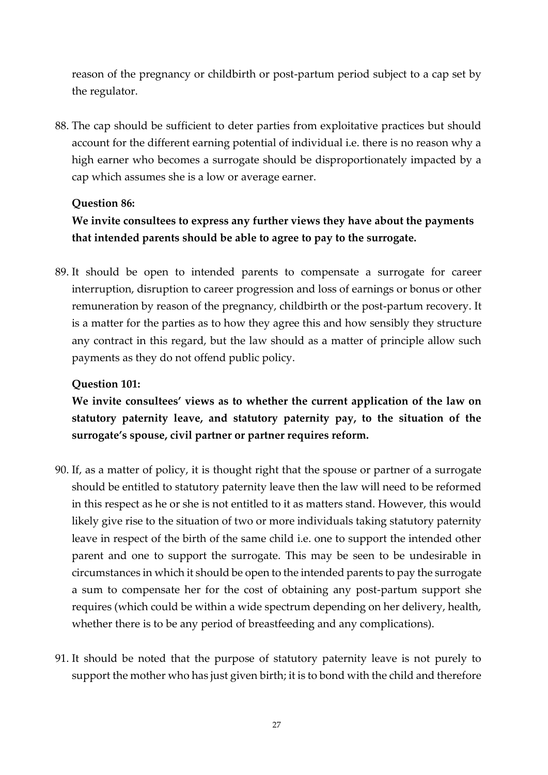reason of the pregnancy or childbirth or post-partum period subject to a cap set by the regulator.

88. The cap should be sufficient to deter parties from exploitative practices but should account for the different earning potential of individual i.e. there is no reason why a high earner who becomes a surrogate should be disproportionately impacted by a cap which assumes she is a low or average earner.

### **Question 86:**

# **We invite consultees to express any further views they have about the payments that intended parents should be able to agree to pay to the surrogate.**

89. It should be open to intended parents to compensate a surrogate for career interruption, disruption to career progression and loss of earnings or bonus or other remuneration by reason of the pregnancy, childbirth or the post-partum recovery. It is a matter for the parties as to how they agree this and how sensibly they structure any contract in this regard, but the law should as a matter of principle allow such payments as they do not offend public policy.

#### **Question 101:**

**We invite consultees' views as to whether the current application of the law on statutory paternity leave, and statutory paternity pay, to the situation of the surrogate's spouse, civil partner or partner requires reform.**

- 90. If, as a matter of policy, it is thought right that the spouse or partner of a surrogate should be entitled to statutory paternity leave then the law will need to be reformed in this respect as he or she is not entitled to it as matters stand. However, this would likely give rise to the situation of two or more individuals taking statutory paternity leave in respect of the birth of the same child i.e. one to support the intended other parent and one to support the surrogate. This may be seen to be undesirable in circumstances in which it should be open to the intended parents to pay the surrogate a sum to compensate her for the cost of obtaining any post-partum support she requires (which could be within a wide spectrum depending on her delivery, health, whether there is to be any period of breastfeeding and any complications).
- 91. It should be noted that the purpose of statutory paternity leave is not purely to support the mother who has just given birth; it is to bond with the child and therefore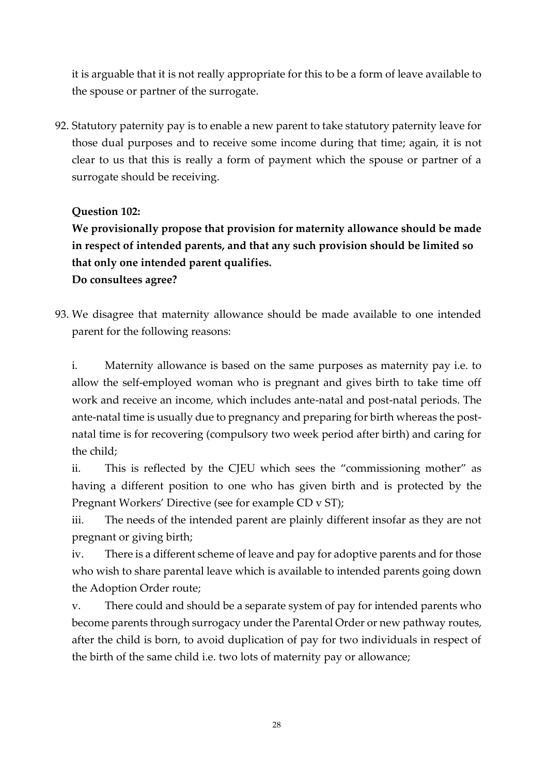it is arguable that it is not really appropriate for this to be a form of leave available to the spouse or partner of the surrogate.

92. Statutory paternity pay is to enable a new parent to take statutory paternity leave for those dual purposes and to receive some income during that time; again, it is not clear to us that this is really a form of payment which the spouse or partner of a surrogate should be receiving.

### **Question 102:**

**We provisionally propose that provision for maternity allowance should be made in respect of intended parents, and that any such provision should be limited so that only one intended parent qualifies.**

**Do consultees agree?**

93. We disagree that maternity allowance should be made available to one intended parent for the following reasons:

i. Maternity allowance is based on the same purposes as maternity pay i.e. to allow the self-employed woman who is pregnant and gives birth to take time off work and receive an income, which includes ante-natal and post-natal periods. The ante-natal time is usually due to pregnancy and preparing for birth whereas the postnatal time is for recovering (compulsory two week period after birth) and caring for the child;

ii. This is reflected by the CJEU which sees the "commissioning mother" as having a different position to one who has given birth and is protected by the Pregnant Workers' Directive (see for example CD v ST);

iii. The needs of the intended parent are plainly different insofar as they are not pregnant or giving birth;

iv. There is a different scheme of leave and pay for adoptive parents and for those who wish to share parental leave which is available to intended parents going down the Adoption Order route;

v. There could and should be a separate system of pay for intended parents who become parents through surrogacy under the Parental Order or new pathway routes, after the child is born, to avoid duplication of pay for two individuals in respect of the birth of the same child i.e. two lots of maternity pay or allowance;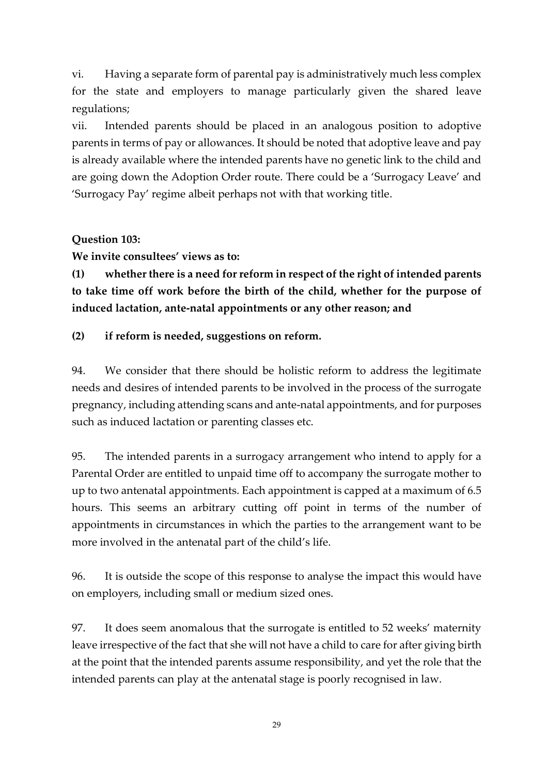vi. Having a separate form of parental pay is administratively much less complex for the state and employers to manage particularly given the shared leave regulations;

vii. Intended parents should be placed in an analogous position to adoptive parents in terms of pay or allowances. It should be noted that adoptive leave and pay is already available where the intended parents have no genetic link to the child and are going down the Adoption Order route. There could be a 'Surrogacy Leave' and 'Surrogacy Pay' regime albeit perhaps not with that working title.

### **Question 103:**

**We invite consultees' views as to:**

**(1) whether there is a need for reform in respect of the right of intended parents to take time off work before the birth of the child, whether for the purpose of induced lactation, ante-natal appointments or any other reason; and**

### **(2) if reform is needed, suggestions on reform.**

94. We consider that there should be holistic reform to address the legitimate needs and desires of intended parents to be involved in the process of the surrogate pregnancy, including attending scans and ante-natal appointments, and for purposes such as induced lactation or parenting classes etc.

95. The intended parents in a surrogacy arrangement who intend to apply for a Parental Order are entitled to unpaid time off to accompany the surrogate mother to up to two antenatal appointments. Each appointment is capped at a maximum of 6.5 hours. This seems an arbitrary cutting off point in terms of the number of appointments in circumstances in which the parties to the arrangement want to be more involved in the antenatal part of the child's life.

96. It is outside the scope of this response to analyse the impact this would have on employers, including small or medium sized ones.

97. It does seem anomalous that the surrogate is entitled to 52 weeks' maternity leave irrespective of the fact that she will not have a child to care for after giving birth at the point that the intended parents assume responsibility, and yet the role that the intended parents can play at the antenatal stage is poorly recognised in law.